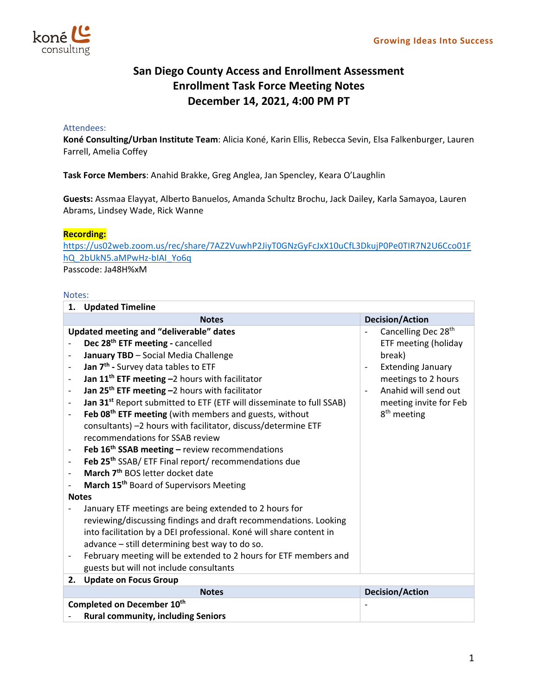

## **San Diego County Access and Enrollment Assessment Enrollment Task Force Meeting Notes December 14, 2021, 4:00 PM PT**

## Attendees:

**Koné Consulting/Urban Institute Team**: Alicia Koné, Karin Ellis, Rebecca Sevin, Elsa Falkenburger, Lauren Farrell, Amelia Coffey

**Task Force Members**: Anahid Brakke, Greg Anglea, Jan Spencley, Keara O'Laughlin

**Guests:** Assmaa Elayyat, Alberto Banuelos, Amanda Schultz Brochu, Jack Dailey, Karla Samayoa, Lauren Abrams, Lindsey Wade, Rick Wanne

## **Recording:**

https://us02web.zoom.us/rec/share/7AZ2VuwhP2JiyT0GNzGyFcJxX10uCfL3DkujP0Pe0TIR7N2U6Cco01F hQ\_2bUkN5.aMPwHz‐bIAI\_Yo6q Passcode: Ja48H%xM

## Notes:

| 1.                         | <b>Updated Timeline</b>                                                           |                                            |  |  |
|----------------------------|-----------------------------------------------------------------------------------|--------------------------------------------|--|--|
|                            | <b>Notes</b>                                                                      | <b>Decision/Action</b>                     |  |  |
|                            | <b>Updated meeting and "deliverable" dates</b><br>Cancelling Dec 28 <sup>th</sup> |                                            |  |  |
|                            | Dec 28 <sup>th</sup> ETF meeting - cancelled                                      | ETF meeting (holiday                       |  |  |
|                            | January TBD - Social Media Challenge                                              | break)                                     |  |  |
|                            | Jan 7 <sup>th</sup> - Survey data tables to ETF                                   | <b>Extending January</b><br>$\overline{a}$ |  |  |
|                            | Jan 11 <sup>th</sup> ETF meeting -2 hours with facilitator                        | meetings to 2 hours                        |  |  |
|                            | Jan 25 <sup>th</sup> ETF meeting -2 hours with facilitator                        | Anahid will send out                       |  |  |
|                            | Jan 31 <sup>st</sup> Report submitted to ETF (ETF will disseminate to full SSAB)  | meeting invite for Feb                     |  |  |
|                            | Feb 08 <sup>th</sup> ETF meeting (with members and guests, without                | 8 <sup>th</sup> meeting                    |  |  |
|                            | consultants) -2 hours with facilitator, discuss/determine ETF                     |                                            |  |  |
|                            | recommendations for SSAB review                                                   |                                            |  |  |
|                            | Feb $16th$ SSAB meeting – review recommendations                                  |                                            |  |  |
|                            | Feb 25 <sup>th</sup> SSAB/ ETF Final report/ recommendations due                  |                                            |  |  |
|                            | March 7 <sup>th</sup> BOS letter docket date                                      |                                            |  |  |
|                            | March 15 <sup>th</sup> Board of Supervisors Meeting                               |                                            |  |  |
| <b>Notes</b>               |                                                                                   |                                            |  |  |
|                            | January ETF meetings are being extended to 2 hours for                            |                                            |  |  |
|                            | reviewing/discussing findings and draft recommendations. Looking                  |                                            |  |  |
|                            | into facilitation by a DEI professional. Koné will share content in               |                                            |  |  |
|                            | advance - still determining best way to do so.                                    |                                            |  |  |
|                            | February meeting will be extended to 2 hours for ETF members and                  |                                            |  |  |
|                            | guests but will not include consultants                                           |                                            |  |  |
| 2.                         | <b>Update on Focus Group</b>                                                      |                                            |  |  |
|                            | <b>Notes</b>                                                                      | <b>Decision/Action</b>                     |  |  |
| Completed on December 10th |                                                                                   |                                            |  |  |
|                            | <b>Rural community, including Seniors</b>                                         |                                            |  |  |